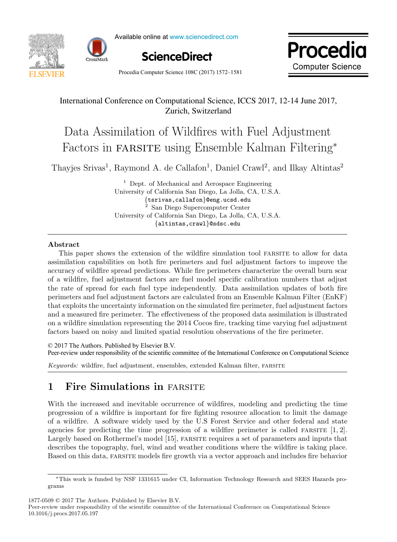



Available online at www.sciencedirect.com





Procedia Computer Science  $108C(2017) 1572-1581$   $-$ This space is reserved for the Procedia header, do not use it is respectively.

## International Conference on Computational Science, ICCS 2017, 12-14 June 2017, Zurich, Switzerland

#### Data Assimilation of Wildfires with Fuel Adjustment Factors in farsite using Ensemble Kalman Filtering<sup>∗</sup> Data Assimilation of Wildfires with Fuel Adjustment Factors in farsite using Ensemble Kalman Filtering<sup>∗</sup> Data Assimilation of Wildfires with Fuel Adjustment Data Assimilation of Wildfires with Fuel Adjustment Factors in FARSITE using Ensemble Kalman Filtering<sup>\*</sup>

Thayjes Srivas<sup>1</sup>, Raymond A. de Callafon<sup>1</sup>, Daniel Crawl<sup>2</sup>, and Ilkay Altintas<sup>2</sup> Thayjes Srivas<sup>1</sup>, Raymond A. de Callafon<sup>1</sup>, Daniel Crawl<sup>2</sup>, and Ilkay Altintas<sup>2</sup> Thayjes Srivas<sup>1</sup>, Raymond A. de Callafon<sup>1</sup>, Daniel Crawl<sup>2</sup>, and Ilkay Altintas<sup>2</sup>

University of California San Diego, La Jolla, CA, U.S.A. University of California San Diego, La Jolla, CA, U.S.A.<br>{tsrivas,callafon}@eng.ucsd.edu  $\frac{4}{t}$  San Diego Supercomputer Center<br>of California San Diego, La Jolla, C  $\{ \texttt{altintas,crawl} \}$ @sdsc.edu  $1$  Dept. of Mechanical and Aerospace Engineering {tsrivas,callafon}@eng.ucsd.edu<br><sup>2</sup> San Diego Supercomputer Center University of California San Diego, La Jolla, CA, U.S.A.<br>{altintas.crawl}@sdsc.edu University of California San Diego, La Jolla, CA, U.S.A.

{altintas,crawl}@sdsc.edu

### Abstract

grams

assimilation capabilities on both fire perimeters and fuel adjustment factors to improve the assummation capabilities on both the permicters and fuer adjustment factors to improve the<br>accuracy of wildfire spread predictions. While fire perimeters characterize the overall burn scar of a wildfire, fuel adjustment factors are fuel model specific calibration numbers that adjust or a whome, net adjustment ractors are net moder specific canoration numbers that adjust<br>the rate of spread for each fuel type independently. Data assimilation updates of both fire perimeters and fuel adjustment factors are calculated from an Ensemble Kalman Filter  $(FnKF)$ that exploits the uncertainty information on the simulated fire perimeter, fuel adjustment factors and a measured fire perimeter. The effectiveness of the proposed data assimilation is illustrated and a measured interpertuncient. The encerveness of the proposed data assumination is must factors on a wildfire simulation representing the 2014 Cocos fire, tracking time varying fuel adjustment factors based on noisy and limited spatial resolution observations of the fire perimeter. accuracy of wildfire spread predictions. While fire perimeters characterize the overall burn scan<br>
accuracy of wildfire spread predictions. While fire perimeters characterize the overall burn scan<br>
declines in the state of of a wildfire, fuel adjustment factors are fuel model specific calibration numbers that adjust<br>the rate of spread for each fuel type independently. Data assimilation updates of both fire<br>the rate of spread for the label o perimeters and fuel adjustment factors are calculated from an Ensemble Kalman Filter (EnKF) on a wildfire simulation representing the 2014 Cocos fire, tracking time varying fuel adjustment factors based on noisy and limited spatial resolution observations of the fire perimeter. This paper shows the extension of the wildfire simulation tool FARSITE to allow for data

© 2017 The Authors. Published by Elsevier B.V. Peer-review under responsibility of the scientific committee of the International Conference on Computational Science on a wildfire simulation representing the 2014 Cocos fire, tracking time varying fuel adjustment factors based on noisy and limited spatial resolution observations of the fire perimeter.

Keywords: wildfire, fuel adjustment, ensembles, extended Kalman filter, farsite Keywords: wildfire, fuel adjustment, ensembles, extended Kalman filter, FARSITE 1 Figure 1 Fire Simulations in fact the substitutions in fact the simulations in the simulations in the simulations of the simulations of the simulations of the simulations of the simulations of the simulations of the simu

#### 1 Fire Simulations in FARSITE 1 Fire Simulations in FARSITE 1 Fire  $\alpha$  in farsite in farsite  $\alpha$

With the increased and inevitable occurrence of wildfires, modeling and predicting the time progression of a wildfire is important for fire fighting resource allocation to limit the damage of a wildfire. A software widely used by the U.S Forest Service and other federal and state agencies for predicting the time progression of a wildfire perimeter is called FARSITE  $[1, 2]$ . Largely based on Rothermel's model [15], FARSITE requires a set of parameters and inputs that describes the topography, fuel, wind and weather conditions where the wildfire is taking place. Based on this data, FARSITE models fire growth via a vector approach and includes fire behavior  $\mathcal{L}$  data, farsite models first models first models first approach and includes fire behavior approach and includes fire behavior  $\mathcal{L}$ progression of a wildfire is important for fire fighting resource allocation to limit the damage

1877-0509 © 2017 The Authors. Published by Elsevier B.V.

Peer-review under responsibility of the scientific committee of the International Conference on Computational Science 10.1016/j.procs.2017.05.197

<sup>∗</sup>This work is funded by NSF 1331615 under CI, Information Technology Research and SEES Hazards pro-grams grams  $\text{rms}$ ∗This work is funded by NSF 1331615 under CI, Information Technology Research and SEES Hazards pro-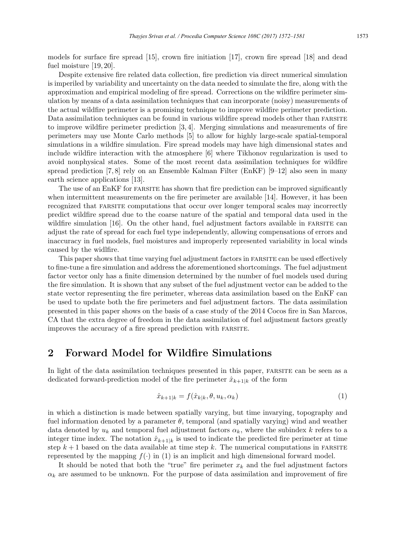models for surface fire spread [15], crown fire initiation [17], crown fire spread [18] and dead fuel moisture [19, 20].

Despite extensive fire related data collection, fire prediction via direct numerical simulation is imperiled by variability and uncertainty on the data needed to simulate the fire, along with the approximation and empirical modeling of fire spread. Corrections on the wildfire perimeter simulation by means of a data assimilation techniques that can incorporate (noisy) measurements of the actual wildfire perimeter is a promising technique to improve wildfire perimeter prediction. Data assimilation techniques can be found in various wildfire spread models other than FARSITE to improve wildfire perimeter prediction [3, 4]. Merging simulations and measurements of fire perimeters may use Monte Carlo methods [5] to allow for highly large-scale spatial-temporal simulations in a wildfire simulation. Fire spread models may have high dimensional states and include wildfire interaction with the atmosphere [6] where Tikhonov regularization is used to avoid nonphysical states. Some of the most recent data assimilation techniques for wildfire spread prediction [7, 8] rely on an Ensemble Kalman Filter (EnKF)  $[9-12]$  also seen in many earth science applications [13].

The use of an EnKF for FARSITE has shown that fire prediction can be improved significantly when intermittent measurements on the fire perimeter are available [14]. However, it has been recognized that farsite computations that occur over longer temporal scales may incorrectly predict wildfire spread due to the coarse nature of the spatial and temporal data used in the wildfire simulation  $[16]$ . On the other hand, fuel adjustment factors available in FARSITE can adjust the rate of spread for each fuel type independently, allowing compensations of errors and inaccuracy in fuel models, fuel moistures and improperly represented variability in local winds caused by the widlfire.

This paper shows that time varying fuel adjustment factors in farsite can be used effectively to fine-tune a fire simulation and address the aforementioned shortcomings. The fuel adjustment factor vector only has a finite dimension determined by the number of fuel models used during the fire simulation. It is shown that any subset of the fuel adjustment vector can be added to the state vector representing the fire perimeter, whereas data assimilation based on the EnKF can be used to update both the fire perimeters and fuel adjustment factors. The data assimilation presented in this paper shows on the basis of a case study of the 2014 Cocos fire in San Marcos, CA that the extra degree of freedom in the data assimilation of fuel adjustment factors greatly improves the accuracy of a fire spread prediction with FARSITE.

## 2 Forward Model for Wildfire Simulations

In light of the data assimilation techniques presented in this paper, FARSITE can be seen as a dedicated forward-prediction model of the fire perimeter  $\hat{x}_{k+1|k}$  of the form

$$
\hat{x}_{k+1|k} = f(\hat{x}_{k|k}, \theta, u_k, \alpha_k)
$$
\n<sup>(1)</sup>

in which a distinction is made between spatially varying, but time invarying, topography and fuel information denoted by a parameter  $\theta$ , temporal (and spatially varying) wind and weather data denoted by  $u_k$  and temporal fuel adjustment factors  $\alpha_k$ , where the subindex k refers to a integer time index. The notation  $\hat{x}_{k+1|k}$  is used to indicate the predicted fire perimeter at time step  $k+1$  based on the data available at time step k. The numerical computations in FARSITE represented by the mapping  $f(\cdot)$  in (1) is an implicit and high dimensional forward model.

It should be noted that both the "true" fire perimeter  $x_k$  and the fuel adjustment factors  $\alpha_k$  are assumed to be unknown. For the purpose of data assimilation and improvement of fire